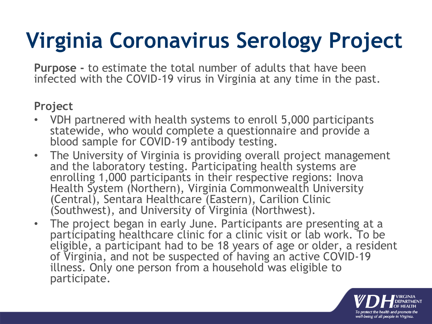# **Virginia Coronavirus Serology Project**

**Purpose -** to estimate the total number of adults that have been infected with the COVID-19 virus in Virginia at any time in the past.

#### **Project**

- VDH partnered with health systems to enroll 5,000 participants statewide, who would complete a questionnaire and provide a blood sample for COVID-19 antibody testing.
- The University of Virginia is providing overall project management and the laboratory testing. Participating health systems are enrolling 1,000 participants in their respective regions: Inova Health System (Northern), Virginia Commonwealth University (Central), Sentara Healthcare (Eastern), Carilion Clinic (Southwest), and University of Virginia (Northwest).
- The project began in early June. Participants are presenting at a participating healthcare clinic for a clinic visit or lab work. To be eligible, a participant had to be 18 years of age or older, a resident of Virginia, and not be suspected of having an active COVID-19 illness. Only one person from a household was eligible to participate.

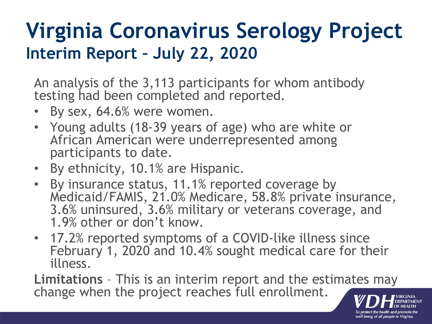### **Virginia Coronavirus Serology Project Interim Report – July 22, 2020**

An analysis of the 3,113 participants for whom antibody testing had been completed and reported.

- By sex, 64.6% were women.
- Young adults (18-39 years of age) who are white or African American were underrepresented among participants to date.
- By ethnicity, 10.1% are Hispanic.
- By insurance status, 11.1% reported coverage by Medicaid/FAMIS, 21.0% Medicare, 58.8% private insurance, 3.6% uninsured, 3.6% military or veterans coverage, and 1.9% other or don't know.
- 17.2% reported symptoms of a COVID-like illness since February 1, 2020 and 10.4% sought medical care for their illness.

**Limitations** – This is an interim report and the estimates may change when the project reaches full enrollment.

well-being of all people in Virginia.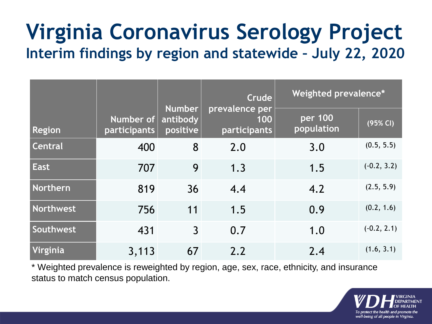### **Virginia Coronavirus Serology Project Interim findings by region and statewide – July 22, 2020**

|               |                           |                                       | Crude                                 | <b>Weighted prevalence*</b> |               |
|---------------|---------------------------|---------------------------------------|---------------------------------------|-----------------------------|---------------|
| <b>Region</b> | Number of<br>participants | <b>Number</b><br>antibody<br>positive | prevalence per<br>100<br>participants | per 100<br>population       | (95% CI)      |
| Central       | 400                       | 8                                     | 2.0                                   | 3.0                         | (0.5, 5.5)    |
| <b>East</b>   | 707                       | 9                                     | 1.3                                   | 1.5                         | $(-0.2, 3.2)$ |
| Northern      | 819                       | 36                                    | 4.4                                   | 4.2                         | (2.5, 5.9)    |
| Northwest     | 756                       | 11                                    | 1.5                                   | 0.9                         | (0.2, 1.6)    |
| Southwest     | 431                       | $\overline{3}$                        | 0.7                                   | 1.0                         | $(-0.2, 2.1)$ |
| Virginia      | 3,113                     | 67                                    | 2.2                                   | 2.4                         | (1.6, 3.1)    |

\* Weighted prevalence is reweighted by region, age, sex, race, ethnicity, and insurance status to match census population.

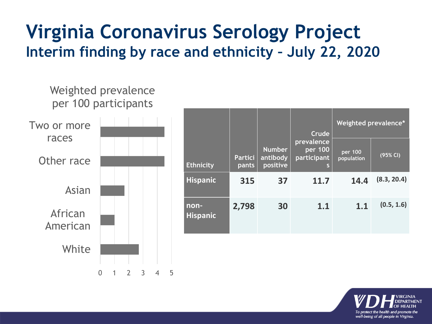### **Virginia Coronavirus Serology Project Interim finding by race and ethnicity – July 22, 2020**



|                         |                         |                                       | Crude                                       | Weighted prevalence*  |             |
|-------------------------|-------------------------|---------------------------------------|---------------------------------------------|-----------------------|-------------|
| <b>Ethnicity</b>        | <b>Partici</b><br>pants | <b>Number</b><br>antibody<br>positive | prevalence<br>$per$ 100<br>participant<br>S | per 100<br>population | (95% CI)    |
| <b>Hispanic</b>         | 315                     | 37                                    | 11.7                                        | 14.4                  | (8.3, 20.4) |
| non-<br><b>Hispanic</b> | 2,798                   | 30                                    | 1.1                                         | 1.1                   | (0.5, 1.6)  |

![](_page_3_Picture_3.jpeg)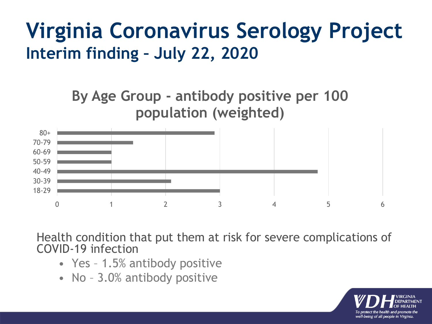### **Virginia Coronavirus Serology Project Interim finding – July 22, 2020**

**By Age Group - antibody positive per 100 population (weighted)**

![](_page_4_Figure_2.jpeg)

Health condition that put them at risk for severe complications of COVID-19 infection

- Yes 1.5% antibody positive
- No 3.0% antibody positive

![](_page_4_Picture_6.jpeg)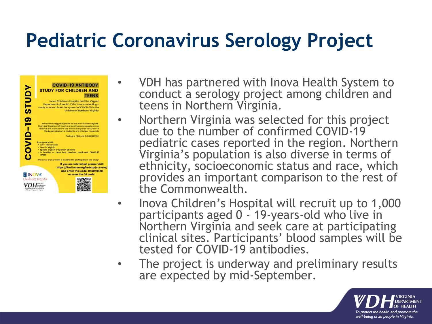### **Pediatric Coronavirus Serology Project**

![](_page_5_Picture_1.jpeg)

- VDH has partnered with Inova Health System to conduct a serology project among children and teens in Northern Virginia.
- Northern Virginia was selected for this project due to the number of confirmed COVID-19 pediatric cases reported in the region. Northern Virginia's population is also diverse in terms of ethnicity, socioeconomic status and race, which provides an important comparison to the rest of the Commonwealth.
- Inova Children's Hospital will recruit up to 1,000 participants aged 0 - 19-years-old who live in Northern Virginia and seek care at participating clinical sites. Participants' blood samples will be tested for COVID-19 antibodies.
- The project is underway and preliminary results are expected by mid-September.

![](_page_5_Picture_6.jpeg)